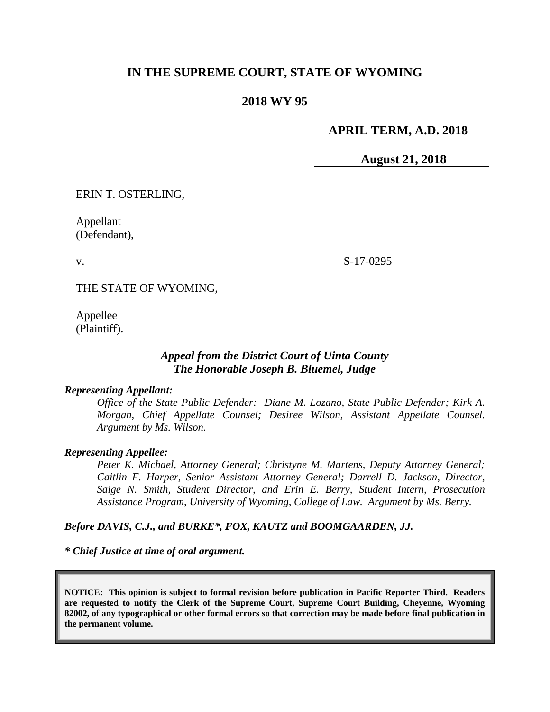# **IN THE SUPREME COURT, STATE OF WYOMING**

# **2018 WY 95**

## **APRIL TERM, A.D. 2018**

**August 21, 2018**

ERIN T. OSTERLING,

Appellant (Defendant),

v.

S-17-0295

THE STATE OF WYOMING,

Appellee (Plaintiff).

## *Appeal from the District Court of Uinta County The Honorable Joseph B. Bluemel, Judge*

#### *Representing Appellant:*

*Office of the State Public Defender: Diane M. Lozano, State Public Defender; Kirk A. Morgan, Chief Appellate Counsel; Desiree Wilson, Assistant Appellate Counsel. Argument by Ms. Wilson.*

#### *Representing Appellee:*

*Peter K. Michael, Attorney General; Christyne M. Martens, Deputy Attorney General; Caitlin F. Harper, Senior Assistant Attorney General; Darrell D. Jackson, Director, Saige N. Smith, Student Director, and Erin E. Berry, Student Intern, Prosecution Assistance Program, University of Wyoming, College of Law. Argument by Ms. Berry.*

#### *Before DAVIS, C.J., and BURKE\*, FOX, KAUTZ and BOOMGAARDEN, JJ.*

*\* Chief Justice at time of oral argument.*

**NOTICE: This opinion is subject to formal revision before publication in Pacific Reporter Third. Readers are requested to notify the Clerk of the Supreme Court, Supreme Court Building, Cheyenne, Wyoming 82002, of any typographical or other formal errors so that correction may be made before final publication in the permanent volume.**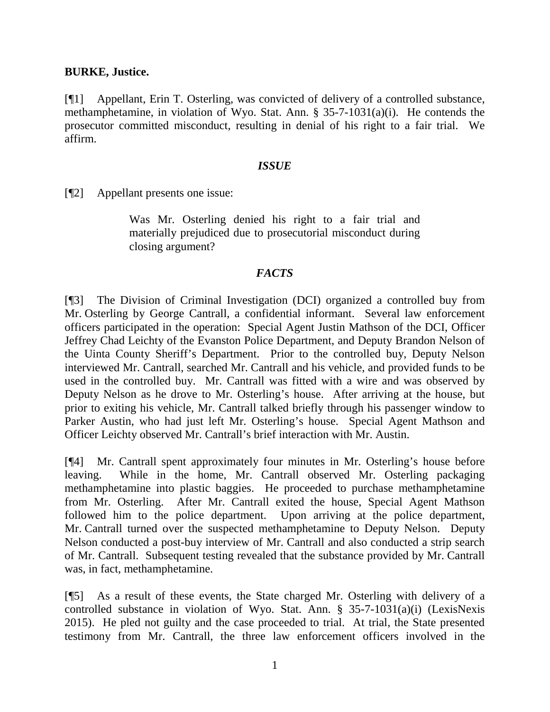### **BURKE, Justice.**

[¶1] Appellant, Erin T. Osterling, was convicted of delivery of a controlled substance, methamphetamine, in violation of Wyo. Stat. Ann. § 35-7-1031(a)(i). He contends the prosecutor committed misconduct, resulting in denial of his right to a fair trial. We affirm.

### *ISSUE*

[¶2] Appellant presents one issue:

Was Mr. Osterling denied his right to a fair trial and materially prejudiced due to prosecutorial misconduct during closing argument?

### *FACTS*

[¶3] The Division of Criminal Investigation (DCI) organized a controlled buy from Mr. Osterling by George Cantrall, a confidential informant. Several law enforcement officers participated in the operation: Special Agent Justin Mathson of the DCI, Officer Jeffrey Chad Leichty of the Evanston Police Department, and Deputy Brandon Nelson of the Uinta County Sheriff's Department. Prior to the controlled buy, Deputy Nelson interviewed Mr. Cantrall, searched Mr. Cantrall and his vehicle, and provided funds to be used in the controlled buy. Mr. Cantrall was fitted with a wire and was observed by Deputy Nelson as he drove to Mr. Osterling's house. After arriving at the house, but prior to exiting his vehicle, Mr. Cantrall talked briefly through his passenger window to Parker Austin, who had just left Mr. Osterling's house. Special Agent Mathson and Officer Leichty observed Mr. Cantrall's brief interaction with Mr. Austin.

[¶4] Mr. Cantrall spent approximately four minutes in Mr. Osterling's house before leaving. While in the home, Mr. Cantrall observed Mr. Osterling packaging methamphetamine into plastic baggies. He proceeded to purchase methamphetamine from Mr. Osterling. After Mr. Cantrall exited the house, Special Agent Mathson followed him to the police department. Upon arriving at the police department, Mr. Cantrall turned over the suspected methamphetamine to Deputy Nelson. Deputy Nelson conducted a post-buy interview of Mr. Cantrall and also conducted a strip search of Mr. Cantrall. Subsequent testing revealed that the substance provided by Mr. Cantrall was, in fact, methamphetamine.

[¶5] As a result of these events, the State charged Mr. Osterling with delivery of a controlled substance in violation of Wyo. Stat. Ann. § 35-7-1031(a)(i) (LexisNexis 2015). He pled not guilty and the case proceeded to trial. At trial, the State presented testimony from Mr. Cantrall, the three law enforcement officers involved in the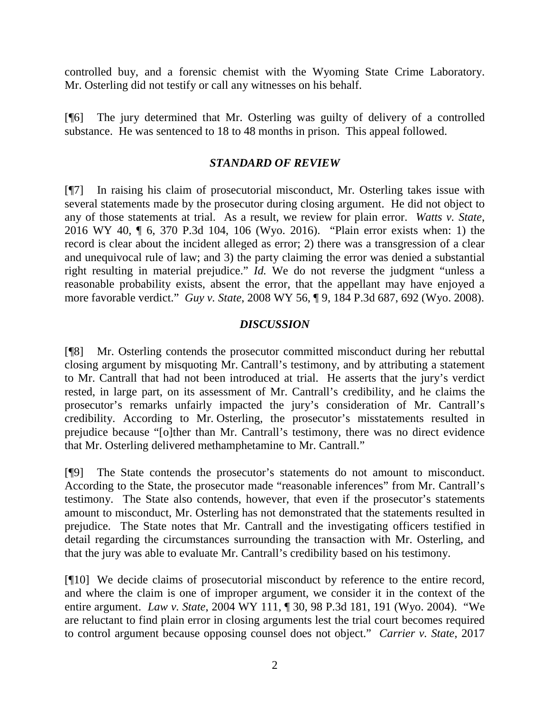controlled buy, and a forensic chemist with the Wyoming State Crime Laboratory. Mr. Osterling did not testify or call any witnesses on his behalf.

[¶6] The jury determined that Mr. Osterling was guilty of delivery of a controlled substance. He was sentenced to 18 to 48 months in prison. This appeal followed.

## *STANDARD OF REVIEW*

[¶7] In raising his claim of prosecutorial misconduct, Mr. Osterling takes issue with several statements made by the prosecutor during closing argument. He did not object to any of those statements at trial. As a result, we review for plain error. *Watts v. State*, 2016 WY 40, ¶ 6, 370 P.3d 104, 106 (Wyo. 2016). "Plain error exists when: 1) the record is clear about the incident alleged as error; 2) there was a transgression of a clear and unequivocal rule of law; and 3) the party claiming the error was denied a substantial right resulting in material prejudice." *Id.* We do not reverse the judgment "unless a reasonable probability exists, absent the error, that the appellant may have enjoyed a more favorable verdict." *Guy v. State*, 2008 WY 56, ¶ 9, 184 P.3d 687, 692 (Wyo. 2008).

## *DISCUSSION*

[¶8] Mr. Osterling contends the prosecutor committed misconduct during her rebuttal closing argument by misquoting Mr. Cantrall's testimony, and by attributing a statement to Mr. Cantrall that had not been introduced at trial. He asserts that the jury's verdict rested, in large part, on its assessment of Mr. Cantrall's credibility, and he claims the prosecutor's remarks unfairly impacted the jury's consideration of Mr. Cantrall's credibility. According to Mr. Osterling, the prosecutor's misstatements resulted in prejudice because "[o]ther than Mr. Cantrall's testimony, there was no direct evidence that Mr. Osterling delivered methamphetamine to Mr. Cantrall."

[¶9] The State contends the prosecutor's statements do not amount to misconduct. According to the State, the prosecutor made "reasonable inferences" from Mr. Cantrall's testimony. The State also contends, however, that even if the prosecutor's statements amount to misconduct, Mr. Osterling has not demonstrated that the statements resulted in prejudice. The State notes that Mr. Cantrall and the investigating officers testified in detail regarding the circumstances surrounding the transaction with Mr. Osterling, and that the jury was able to evaluate Mr. Cantrall's credibility based on his testimony.

[¶10] We decide claims of prosecutorial misconduct by reference to the entire record, and where the claim is one of improper argument, we consider it in the context of the entire argument. *Law v. State*, 2004 WY 111, ¶ 30, 98 P.3d 181, 191 (Wyo. 2004). "We are reluctant to find plain error in closing arguments lest the trial court becomes required to control argument because opposing counsel does not object." *Carrier v. State*, 2017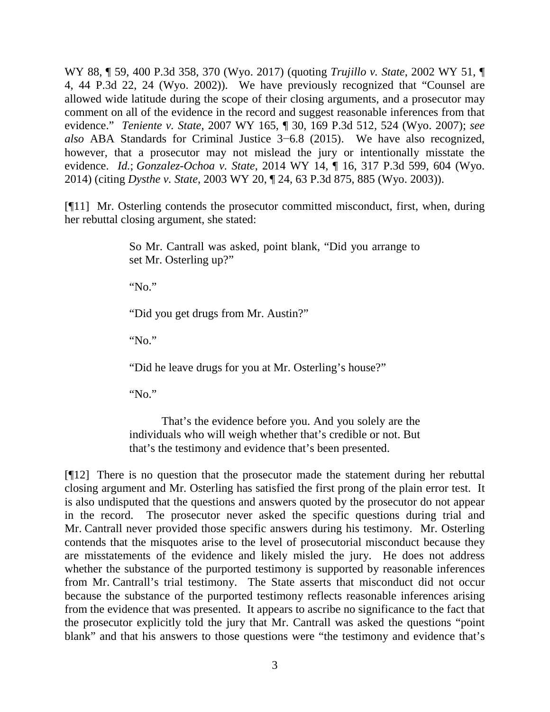WY 88, ¶ 59, 400 P.3d 358, 370 (Wyo. 2017) (quoting *Trujillo v. State*, 2002 WY 51, ¶ 4, 44 P.3d 22, 24 (Wyo. 2002)). We have previously recognized that "Counsel are allowed wide latitude during the scope of their closing arguments, and a prosecutor may comment on all of the evidence in the record and suggest reasonable inferences from that evidence." *Teniente v. State*, 2007 WY 165, ¶ 30, 169 P.3d 512, 524 (Wyo. 2007); *see also* ABA Standards for Criminal Justice 3−6.8 (2015). We have also recognized, however, that a prosecutor may not mislead the jury or intentionally misstate the evidence. *Id.*; *Gonzalez-Ochoa v. State*, 2014 WY 14, ¶ 16, 317 P.3d 599, 604 (Wyo. 2014) (citing *Dysthe v. State*, 2003 WY 20, ¶ 24, 63 P.3d 875, 885 (Wyo. 2003)).

[¶11] Mr. Osterling contends the prosecutor committed misconduct, first, when, during her rebuttal closing argument, she stated:

> So Mr. Cantrall was asked, point blank, "Did you arrange to set Mr. Osterling up?"

"No."

"Did you get drugs from Mr. Austin?"

"No."

"Did he leave drugs for you at Mr. Osterling's house?"

"No."

That's the evidence before you. And you solely are the individuals who will weigh whether that's credible or not. But that's the testimony and evidence that's been presented.

[¶12] There is no question that the prosecutor made the statement during her rebuttal closing argument and Mr. Osterling has satisfied the first prong of the plain error test. It is also undisputed that the questions and answers quoted by the prosecutor do not appear in the record. The prosecutor never asked the specific questions during trial and Mr. Cantrall never provided those specific answers during his testimony. Mr. Osterling contends that the misquotes arise to the level of prosecutorial misconduct because they are misstatements of the evidence and likely misled the jury. He does not address whether the substance of the purported testimony is supported by reasonable inferences from Mr. Cantrall's trial testimony. The State asserts that misconduct did not occur because the substance of the purported testimony reflects reasonable inferences arising from the evidence that was presented. It appears to ascribe no significance to the fact that the prosecutor explicitly told the jury that Mr. Cantrall was asked the questions "point blank" and that his answers to those questions were "the testimony and evidence that's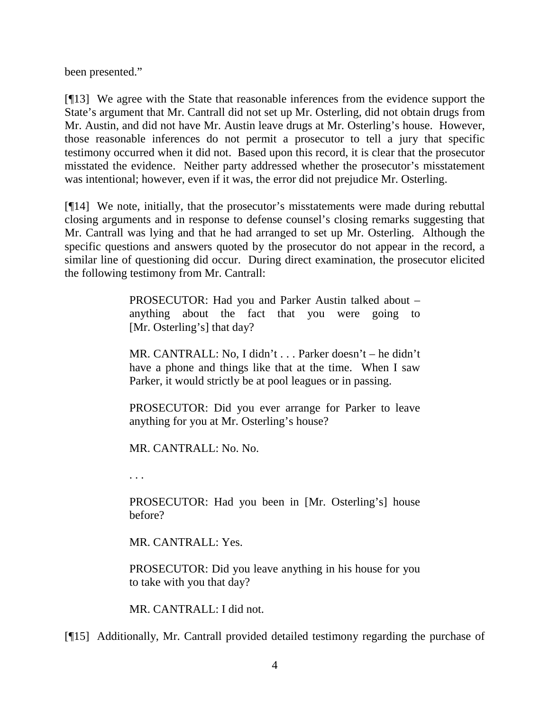been presented."

[¶13] We agree with the State that reasonable inferences from the evidence support the State's argument that Mr. Cantrall did not set up Mr. Osterling, did not obtain drugs from Mr. Austin, and did not have Mr. Austin leave drugs at Mr. Osterling's house. However, those reasonable inferences do not permit a prosecutor to tell a jury that specific testimony occurred when it did not. Based upon this record, it is clear that the prosecutor misstated the evidence. Neither party addressed whether the prosecutor's misstatement was intentional; however, even if it was, the error did not prejudice Mr. Osterling.

[¶14] We note, initially, that the prosecutor's misstatements were made during rebuttal closing arguments and in response to defense counsel's closing remarks suggesting that Mr. Cantrall was lying and that he had arranged to set up Mr. Osterling. Although the specific questions and answers quoted by the prosecutor do not appear in the record, a similar line of questioning did occur. During direct examination, the prosecutor elicited the following testimony from Mr. Cantrall:

> PROSECUTOR: Had you and Parker Austin talked about – anything about the fact that you were going to [Mr. Osterling's] that day?

> MR. CANTRALL: No, I didn't . . . Parker doesn't – he didn't have a phone and things like that at the time. When I saw Parker, it would strictly be at pool leagues or in passing.

> PROSECUTOR: Did you ever arrange for Parker to leave anything for you at Mr. Osterling's house?

MR. CANTRALL: No. No.

. . .

PROSECUTOR: Had you been in [Mr. Osterling's] house before?

MR. CANTRALL: Yes.

PROSECUTOR: Did you leave anything in his house for you to take with you that day?

MR. CANTRALL: I did not.

[¶15] Additionally, Mr. Cantrall provided detailed testimony regarding the purchase of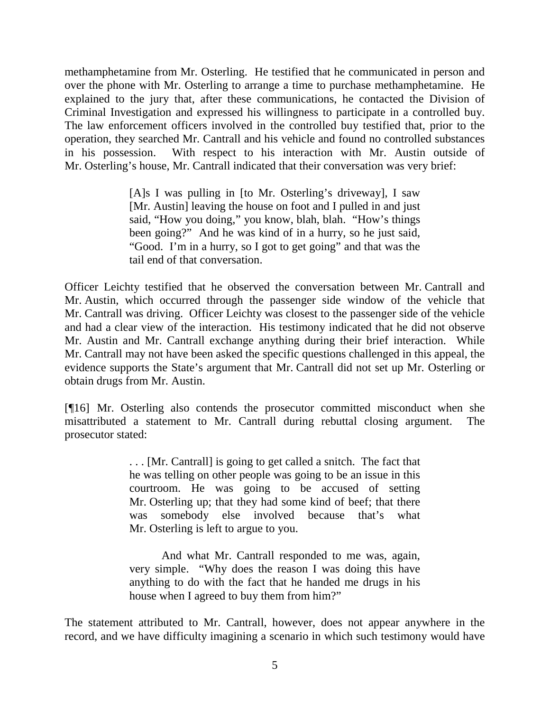methamphetamine from Mr. Osterling. He testified that he communicated in person and over the phone with Mr. Osterling to arrange a time to purchase methamphetamine. He explained to the jury that, after these communications, he contacted the Division of Criminal Investigation and expressed his willingness to participate in a controlled buy. The law enforcement officers involved in the controlled buy testified that, prior to the operation, they searched Mr. Cantrall and his vehicle and found no controlled substances in his possession. With respect to his interaction with Mr. Austin outside of Mr. Osterling's house, Mr. Cantrall indicated that their conversation was very brief:

> [A]s I was pulling in [to Mr. Osterling's driveway], I saw [Mr. Austin] leaving the house on foot and I pulled in and just said, "How you doing," you know, blah, blah. "How's things been going?" And he was kind of in a hurry, so he just said, "Good. I'm in a hurry, so I got to get going" and that was the tail end of that conversation.

Officer Leichty testified that he observed the conversation between Mr. Cantrall and Mr. Austin, which occurred through the passenger side window of the vehicle that Mr. Cantrall was driving. Officer Leichty was closest to the passenger side of the vehicle and had a clear view of the interaction. His testimony indicated that he did not observe Mr. Austin and Mr. Cantrall exchange anything during their brief interaction. While Mr. Cantrall may not have been asked the specific questions challenged in this appeal, the evidence supports the State's argument that Mr. Cantrall did not set up Mr. Osterling or obtain drugs from Mr. Austin.

[¶16] Mr. Osterling also contends the prosecutor committed misconduct when she misattributed a statement to Mr. Cantrall during rebuttal closing argument. The prosecutor stated:

> . . . [Mr. Cantrall] is going to get called a snitch. The fact that he was telling on other people was going to be an issue in this courtroom. He was going to be accused of setting Mr. Osterling up; that they had some kind of beef; that there was somebody else involved because that's what Mr. Osterling is left to argue to you.

> And what Mr. Cantrall responded to me was, again, very simple. "Why does the reason I was doing this have anything to do with the fact that he handed me drugs in his house when I agreed to buy them from him?"

The statement attributed to Mr. Cantrall, however, does not appear anywhere in the record, and we have difficulty imagining a scenario in which such testimony would have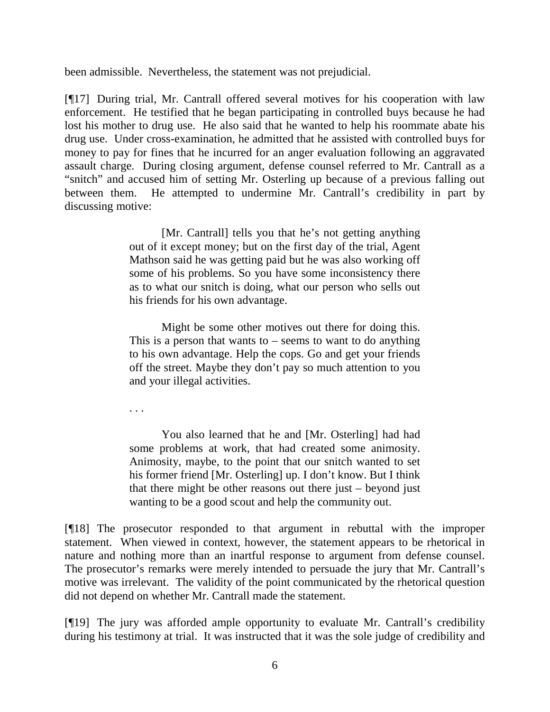been admissible. Nevertheless, the statement was not prejudicial.

[¶17] During trial, Mr. Cantrall offered several motives for his cooperation with law enforcement. He testified that he began participating in controlled buys because he had lost his mother to drug use. He also said that he wanted to help his roommate abate his drug use. Under cross-examination, he admitted that he assisted with controlled buys for money to pay for fines that he incurred for an anger evaluation following an aggravated assault charge. During closing argument, defense counsel referred to Mr. Cantrall as a "snitch" and accused him of setting Mr. Osterling up because of a previous falling out between them. He attempted to undermine Mr. Cantrall's credibility in part by discussing motive:

> [Mr. Cantrall] tells you that he's not getting anything out of it except money; but on the first day of the trial, Agent Mathson said he was getting paid but he was also working off some of his problems. So you have some inconsistency there as to what our snitch is doing, what our person who sells out his friends for his own advantage.

> Might be some other motives out there for doing this. This is a person that wants to – seems to want to do anything to his own advantage. Help the cops. Go and get your friends off the street. Maybe they don't pay so much attention to you and your illegal activities.

. . .

You also learned that he and [Mr. Osterling] had had some problems at work, that had created some animosity. Animosity, maybe, to the point that our snitch wanted to set his former friend [Mr. Osterling] up. I don't know. But I think that there might be other reasons out there just – beyond just wanting to be a good scout and help the community out.

[¶18] The prosecutor responded to that argument in rebuttal with the improper statement. When viewed in context, however, the statement appears to be rhetorical in nature and nothing more than an inartful response to argument from defense counsel. The prosecutor's remarks were merely intended to persuade the jury that Mr. Cantrall's motive was irrelevant. The validity of the point communicated by the rhetorical question did not depend on whether Mr. Cantrall made the statement.

[¶19] The jury was afforded ample opportunity to evaluate Mr. Cantrall's credibility during his testimony at trial. It was instructed that it was the sole judge of credibility and